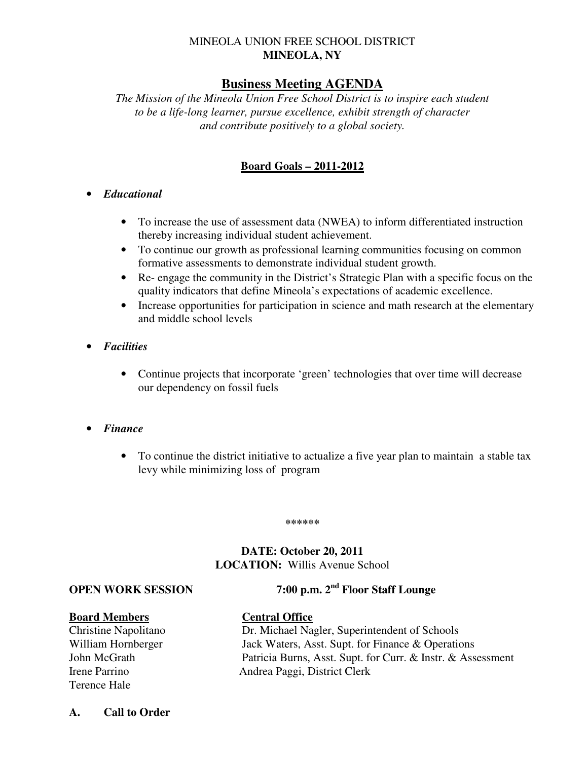### MINEOLA UNION FREE SCHOOL DISTRICT **MINEOLA, NY**

# **Business Meeting AGENDA**

*The Mission of the Mineola Union Free School District is to inspire each student to be a life-long learner, pursue excellence, exhibit strength of character and contribute positively to a global society.* 

## **Board Goals – 2011-2012**

#### • *Educational*

- To increase the use of assessment data (NWEA) to inform differentiated instruction thereby increasing individual student achievement.
- To continue our growth as professional learning communities focusing on common formative assessments to demonstrate individual student growth.
- Re- engage the community in the District's Strategic Plan with a specific focus on the quality indicators that define Mineola's expectations of academic excellence.
- Increase opportunities for participation in science and math research at the elementary and middle school levels
- *Facilities* 
	- Continue projects that incorporate 'green' technologies that over time will decrease our dependency on fossil fuels
- *Finance* 
	- To continue the district initiative to actualize a five year plan to maintain a stable tax levy while minimizing loss of program

#### **\*\*\*\*\*\***

# **DATE: October 20, 2011 LOCATION:** Willis Avenue School

**OPEN WORK SESSION 7:00 p.m. 2nd Floor Staff Lounge** 

#### **Board Members Central Office**

Terence Hale

- Christine Napolitano Dr. Michael Nagler, Superintendent of Schools William Hornberger Jack Waters, Asst. Supt. for Finance & Operations John McGrath Patricia Burns, Asst. Supt. for Curr. & Instr. & Assessment Irene Parrino Andrea Paggi, District Clerk
- **A. Call to Order**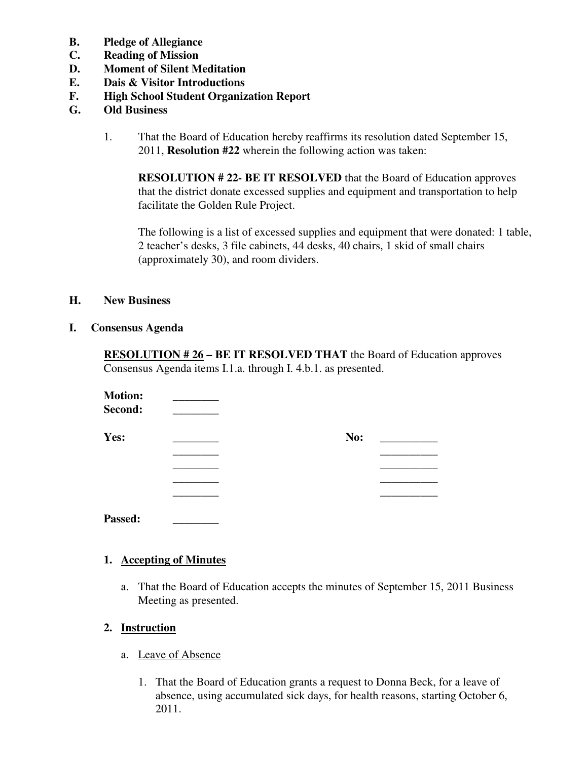- **B. Pledge of Allegiance**
- **C. Reading of Mission**
- **D. Moment of Silent Meditation**
- **E. Dais & Visitor Introductions**
- **F. High School Student Organization Report**
- **G. Old Business** 
	- 1. That the Board of Education hereby reaffirms its resolution dated September 15, 2011, **Resolution #22** wherein the following action was taken:

**RESOLUTION # 22- BE IT RESOLVED** that the Board of Education approves that the district donate excessed supplies and equipment and transportation to help facilitate the Golden Rule Project.

 The following is a list of excessed supplies and equipment that were donated: 1 table, 2 teacher's desks, 3 file cabinets, 44 desks, 40 chairs, 1 skid of small chairs (approximately 30), and room dividers.

#### **H. New Business**

**I. Consensus Agenda** 

**RESOLUTION # 26 – BE IT RESOLVED THAT** the Board of Education approves Consensus Agenda items I.1.a. through I. 4.b.1. as presented.

| <b>Motion:</b> |     |
|----------------|-----|
| Second:        |     |
| Yes:           | No: |
|                |     |
|                |     |
|                |     |
|                |     |

# **1. Accepting of Minutes**

 a. That the Board of Education accepts the minutes of September 15, 2011 Business Meeting as presented.

#### **2. Instruction**

- a. Leave of Absence
	- 1. That the Board of Education grants a request to Donna Beck, for a leave of absence, using accumulated sick days, for health reasons, starting October 6, 2011.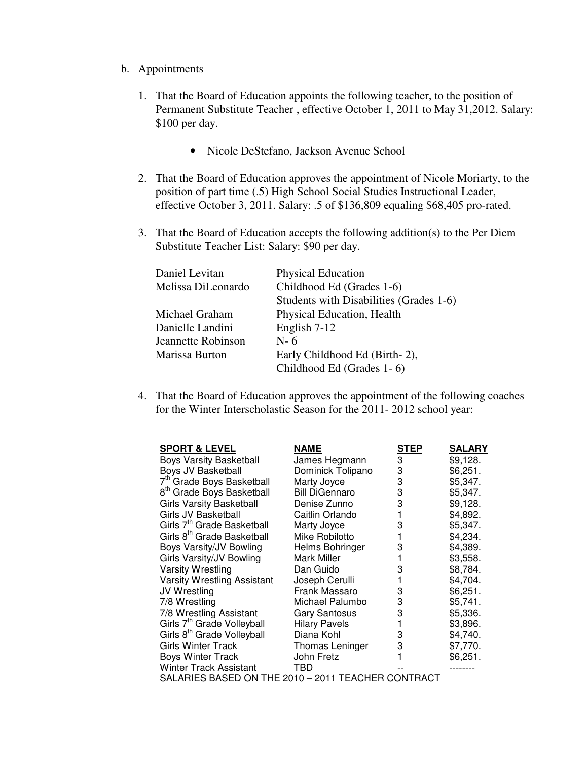#### b. Appointments

- 1. That the Board of Education appoints the following teacher, to the position of Permanent Substitute Teacher , effective October 1, 2011 to May 31,2012. Salary: \$100 per day.
	- Nicole DeStefano, Jackson Avenue School
- 2. That the Board of Education approves the appointment of Nicole Moriarty, to the position of part time (.5) High School Social Studies Instructional Leader, effective October 3, 2011. Salary: .5 of \$136,809 equaling \$68,405 pro-rated.
- 3. That the Board of Education accepts the following addition(s) to the Per Diem Substitute Teacher List: Salary: \$90 per day.

| Daniel Levitan     | <b>Physical Education</b>               |
|--------------------|-----------------------------------------|
| Melissa DiLeonardo | Childhood Ed (Grades 1-6)               |
|                    | Students with Disabilities (Grades 1-6) |
| Michael Graham     | Physical Education, Health              |
| Danielle Landini   | English 7-12                            |
| Jeannette Robinson | $N-6$                                   |
| Marissa Burton     | Early Childhood Ed (Birth-2),           |
|                    | Childhood Ed (Grades 1-6)               |

 4. That the Board of Education approves the appointment of the following coaches for the Winter Interscholastic Season for the 2011- 2012 school year:

| <b>SPORT &amp; LEVEL</b>                           | <b>NAME</b>           | <b>STEP</b> | <b>SALARY</b> |
|----------------------------------------------------|-----------------------|-------------|---------------|
| <b>Boys Varsity Basketball</b>                     | James Hegmann         | 3           | \$9,128.      |
| Boys JV Basketball                                 | Dominick Tolipano     | 3           | \$6,251.      |
| 7 <sup>th</sup> Grade Boys Basketball              | Marty Joyce           | 3           | \$5,347.      |
| 8 <sup>th</sup> Grade Boys Basketball              | <b>Bill DiGennaro</b> | 3           | \$5,347.      |
| <b>Girls Varsity Basketball</b>                    | Denise Zunno          | 3           | \$9,128.      |
| Girls JV Basketball                                | Caitlin Orlando       |             | \$4,892.      |
| Girls 7 <sup>th</sup> Grade Basketball             | Marty Joyce           | 3           | \$5,347.      |
| Girls 8 <sup>th</sup> Grade Basketball             | Mike Robilotto        |             | \$4,234.      |
| Boys Varsity/JV Bowling                            | Helms Bohringer       | 3           | \$4,389.      |
| Girls Varsity/JV Bowling                           | Mark Miller           |             | \$3,558.      |
| Varsity Wrestling                                  | Dan Guido             | 3           | \$8,784.      |
| Varsity Wrestling Assistant                        | Joseph Cerulli        |             | \$4,704.      |
| JV Wrestling                                       | Frank Massaro         | 3           | \$6,251.      |
| 7/8 Wrestling                                      | Michael Palumbo       | 3           | \$5,741.      |
| 7/8 Wrestling Assistant                            | <b>Gary Santosus</b>  | 3           | \$5,336.      |
| Girls 7 <sup>th</sup> Grade Volleyball             | <b>Hilary Pavels</b>  |             | \$3,896.      |
| Girls 8 <sup>th</sup> Grade Volleyball             | Diana Kohl            | 3           | \$4,740.      |
| <b>Girls Winter Track</b>                          | Thomas Leninger       | 3           | \$7,770.      |
| <b>Boys Winter Track</b>                           | John Fretz            |             | \$6,251.      |
| Winter Track Assistant                             | TBD.                  |             |               |
| SALARIES BASED ON THE 2010 - 2011 TEACHER CONTRACT |                       |             |               |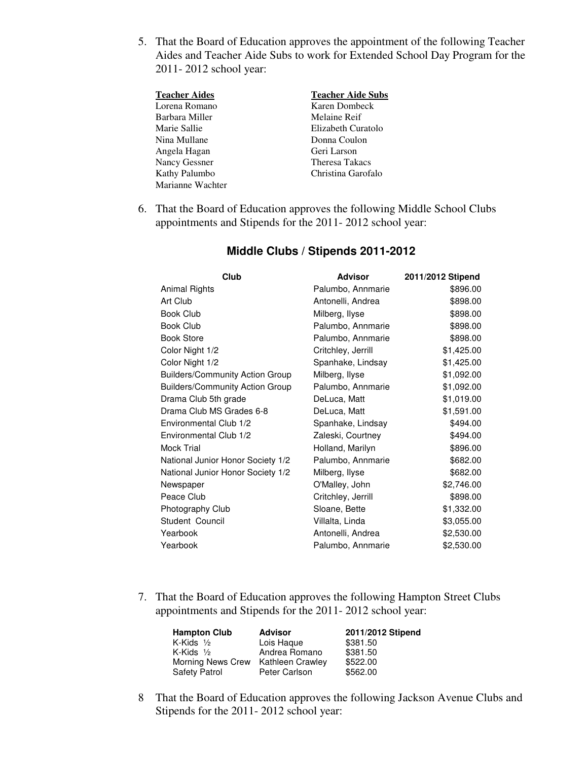5. That the Board of Education approves the appointment of the following Teacher Aides and Teacher Aide Subs to work for Extended School Day Program for the 2011- 2012 school year:

| <b>Teacher Aides</b> | <b>Teacher Aide Subs</b> |
|----------------------|--------------------------|
| Lorena Romano        | Karen Dombeck            |
| Barbara Miller       | Melaine Reif             |
| Marie Sallie         | Elizabeth Curatolo       |
| Nina Mullane         | Donna Coulon             |
| Angela Hagan         | Geri Larson              |
| Nancy Gessner        | Theresa Takacs           |
| Kathy Palumbo        | Christina Garofalo       |
| Marianne Wachter     |                          |

6. That the Board of Education approves the following Middle School Clubs appointments and Stipends for the 2011- 2012 school year:

| Palumbo, Annmarie<br>Animal Rights<br>\$896.00<br>Art Club<br>Antonelli, Andrea<br>\$898.00<br>Book Club<br>Milberg, Ilyse<br>\$898.00<br><b>Book Club</b><br>Palumbo, Annmarie<br>\$898.00<br><b>Book Store</b><br>\$898.00<br>Palumbo, Annmarie<br>Color Night 1/2<br>Critchley, Jerrill<br>\$1,425.00<br>Color Night 1/2<br>Spanhake, Lindsay<br>\$1,425.00<br><b>Builders/Community Action Group</b><br>\$1,092.00<br>Milberg, Ilyse<br><b>Builders/Community Action Group</b><br>\$1,092.00<br>Palumbo, Annmarie<br>Drama Club 5th grade<br>\$1,019.00<br>DeLuca, Matt<br>Drama Club MS Grades 6-8<br>\$1,591.00<br>DeLuca, Matt<br>Environmental Club 1/2<br>Spanhake, Lindsay<br>\$494.00<br>\$494.00<br>Environmental Club 1/2<br>Zaleski, Courtney<br>Mock Trial<br>Holland, Marilyn<br>\$896.00<br>National Junior Honor Society 1/2<br>Palumbo, Annmarie<br>\$682.00<br>\$682.00<br>National Junior Honor Society 1/2<br>Milberg, Ilyse<br>O'Malley, John<br>\$2,746.00<br>Newspaper<br>Peace Club<br>Critchley, Jerrill<br>\$898.00<br>Photography Club<br>Sloane, Bette<br>\$1,332.00<br>Student Council<br>Villalta, Linda<br>\$3,055.00<br>\$2,530.00<br>Yearbook<br>Antonelli, Andrea<br>Yearbook<br>Palumbo, Annmarie<br>\$2,530.00 | Club | <b>Advisor</b> | 2011/2012 Stipend |
|------------------------------------------------------------------------------------------------------------------------------------------------------------------------------------------------------------------------------------------------------------------------------------------------------------------------------------------------------------------------------------------------------------------------------------------------------------------------------------------------------------------------------------------------------------------------------------------------------------------------------------------------------------------------------------------------------------------------------------------------------------------------------------------------------------------------------------------------------------------------------------------------------------------------------------------------------------------------------------------------------------------------------------------------------------------------------------------------------------------------------------------------------------------------------------------------------------------------------------------------------|------|----------------|-------------------|
|                                                                                                                                                                                                                                                                                                                                                                                                                                                                                                                                                                                                                                                                                                                                                                                                                                                                                                                                                                                                                                                                                                                                                                                                                                                      |      |                |                   |
|                                                                                                                                                                                                                                                                                                                                                                                                                                                                                                                                                                                                                                                                                                                                                                                                                                                                                                                                                                                                                                                                                                                                                                                                                                                      |      |                |                   |
|                                                                                                                                                                                                                                                                                                                                                                                                                                                                                                                                                                                                                                                                                                                                                                                                                                                                                                                                                                                                                                                                                                                                                                                                                                                      |      |                |                   |
|                                                                                                                                                                                                                                                                                                                                                                                                                                                                                                                                                                                                                                                                                                                                                                                                                                                                                                                                                                                                                                                                                                                                                                                                                                                      |      |                |                   |
|                                                                                                                                                                                                                                                                                                                                                                                                                                                                                                                                                                                                                                                                                                                                                                                                                                                                                                                                                                                                                                                                                                                                                                                                                                                      |      |                |                   |
|                                                                                                                                                                                                                                                                                                                                                                                                                                                                                                                                                                                                                                                                                                                                                                                                                                                                                                                                                                                                                                                                                                                                                                                                                                                      |      |                |                   |
|                                                                                                                                                                                                                                                                                                                                                                                                                                                                                                                                                                                                                                                                                                                                                                                                                                                                                                                                                                                                                                                                                                                                                                                                                                                      |      |                |                   |
|                                                                                                                                                                                                                                                                                                                                                                                                                                                                                                                                                                                                                                                                                                                                                                                                                                                                                                                                                                                                                                                                                                                                                                                                                                                      |      |                |                   |
|                                                                                                                                                                                                                                                                                                                                                                                                                                                                                                                                                                                                                                                                                                                                                                                                                                                                                                                                                                                                                                                                                                                                                                                                                                                      |      |                |                   |
|                                                                                                                                                                                                                                                                                                                                                                                                                                                                                                                                                                                                                                                                                                                                                                                                                                                                                                                                                                                                                                                                                                                                                                                                                                                      |      |                |                   |
|                                                                                                                                                                                                                                                                                                                                                                                                                                                                                                                                                                                                                                                                                                                                                                                                                                                                                                                                                                                                                                                                                                                                                                                                                                                      |      |                |                   |
|                                                                                                                                                                                                                                                                                                                                                                                                                                                                                                                                                                                                                                                                                                                                                                                                                                                                                                                                                                                                                                                                                                                                                                                                                                                      |      |                |                   |
|                                                                                                                                                                                                                                                                                                                                                                                                                                                                                                                                                                                                                                                                                                                                                                                                                                                                                                                                                                                                                                                                                                                                                                                                                                                      |      |                |                   |
|                                                                                                                                                                                                                                                                                                                                                                                                                                                                                                                                                                                                                                                                                                                                                                                                                                                                                                                                                                                                                                                                                                                                                                                                                                                      |      |                |                   |
|                                                                                                                                                                                                                                                                                                                                                                                                                                                                                                                                                                                                                                                                                                                                                                                                                                                                                                                                                                                                                                                                                                                                                                                                                                                      |      |                |                   |
|                                                                                                                                                                                                                                                                                                                                                                                                                                                                                                                                                                                                                                                                                                                                                                                                                                                                                                                                                                                                                                                                                                                                                                                                                                                      |      |                |                   |
|                                                                                                                                                                                                                                                                                                                                                                                                                                                                                                                                                                                                                                                                                                                                                                                                                                                                                                                                                                                                                                                                                                                                                                                                                                                      |      |                |                   |
|                                                                                                                                                                                                                                                                                                                                                                                                                                                                                                                                                                                                                                                                                                                                                                                                                                                                                                                                                                                                                                                                                                                                                                                                                                                      |      |                |                   |
|                                                                                                                                                                                                                                                                                                                                                                                                                                                                                                                                                                                                                                                                                                                                                                                                                                                                                                                                                                                                                                                                                                                                                                                                                                                      |      |                |                   |
|                                                                                                                                                                                                                                                                                                                                                                                                                                                                                                                                                                                                                                                                                                                                                                                                                                                                                                                                                                                                                                                                                                                                                                                                                                                      |      |                |                   |
|                                                                                                                                                                                                                                                                                                                                                                                                                                                                                                                                                                                                                                                                                                                                                                                                                                                                                                                                                                                                                                                                                                                                                                                                                                                      |      |                |                   |
|                                                                                                                                                                                                                                                                                                                                                                                                                                                                                                                                                                                                                                                                                                                                                                                                                                                                                                                                                                                                                                                                                                                                                                                                                                                      |      |                |                   |

# **Middle Clubs / Stipends 2011-2012**

7. That the Board of Education approves the following Hampton Street Clubs appointments and Stipends for the 2011- 2012 school year:

| <b>Hampton Club</b>  | <b>Advisor</b>   | 2011/2012 Stipend |
|----------------------|------------------|-------------------|
| K-Kids $\frac{1}{2}$ | Lois Haque       | \$381.50          |
| K-Kids $\frac{1}{2}$ | Andrea Romano    | \$381.50          |
| Morning News Crew    | Kathleen Crawley | \$522.00          |
| <b>Safety Patrol</b> | Peter Carlson    | \$562.00          |

 8 That the Board of Education approves the following Jackson Avenue Clubs and Stipends for the 2011- 2012 school year: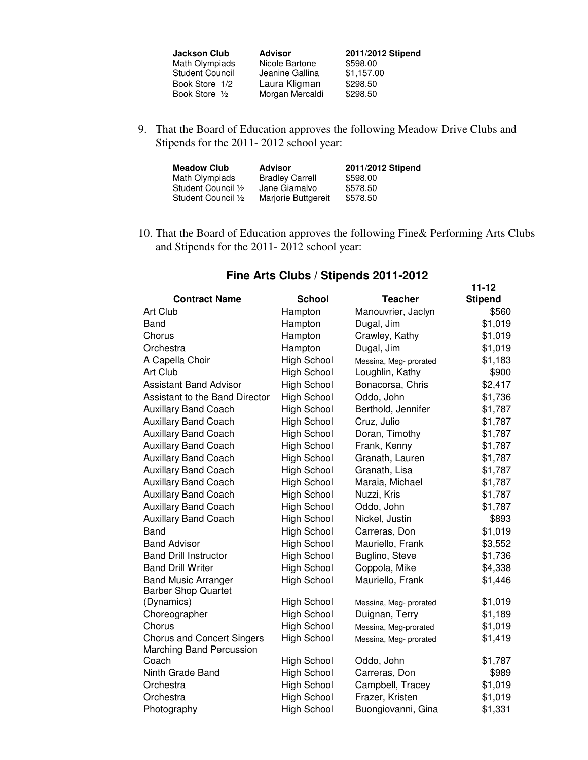| <b>Jackson Club</b>      | <b>Advisor</b>  | 2011/2012 Stipend |
|--------------------------|-----------------|-------------------|
| Math Olympiads           | Nicole Bartone  | \$598.00          |
| <b>Student Council</b>   | Jeanine Gallina | \$1,157.00        |
| Book Store 1/2           | Laura Kligman   | \$298.50          |
| Book Store $\frac{1}{2}$ | Morgan Mercaldi | \$298.50          |

 9. That the Board of Education approves the following Meadow Drive Clubs and Stipends for the 2011- 2012 school year:

| <b>Meadow Club</b>  | Advisor                | 2011/2012 Stipend |
|---------------------|------------------------|-------------------|
| Math Olympiads      | <b>Bradley Carrell</b> | \$598.00          |
| Student Council 1/2 | Jane Giamalvo          | \$578.50          |
| Student Council 1/2 | Marjorie Buttgereit    | \$578.50          |

 10. That the Board of Education approves the following Fine& Performing Arts Clubs and Stipends for the 2011- 2012 school year:

|                                   |                    |                        | $11 - 12$      |
|-----------------------------------|--------------------|------------------------|----------------|
| <b>Contract Name</b>              | <b>School</b>      | <b>Teacher</b>         | <b>Stipend</b> |
| Art Club                          | Hampton            | Manouvrier, Jaclyn     | \$560          |
| Band                              | Hampton            | Dugal, Jim             | \$1,019        |
| Chorus                            | Hampton            | Crawley, Kathy         | \$1,019        |
| Orchestra                         | Hampton            | Dugal, Jim             | \$1,019        |
| A Capella Choir                   | <b>High School</b> | Messina, Meg- prorated | \$1,183        |
| Art Club                          | <b>High School</b> | Loughlin, Kathy        | \$900          |
| Assistant Band Advisor            | <b>High School</b> | Bonacorsa, Chris       | \$2,417        |
| Assistant to the Band Director    | <b>High School</b> | Oddo, John             | \$1,736        |
| <b>Auxillary Band Coach</b>       | <b>High School</b> | Berthold, Jennifer     | \$1,787        |
| <b>Auxillary Band Coach</b>       | <b>High School</b> | Cruz, Julio            | \$1,787        |
| <b>Auxillary Band Coach</b>       | <b>High School</b> | Doran, Timothy         | \$1,787        |
| <b>Auxillary Band Coach</b>       | <b>High School</b> | Frank, Kenny           | \$1,787        |
| <b>Auxillary Band Coach</b>       | <b>High School</b> | Granath, Lauren        | \$1,787        |
| <b>Auxillary Band Coach</b>       | <b>High School</b> | Granath, Lisa          | \$1,787        |
| <b>Auxillary Band Coach</b>       | <b>High School</b> | Maraia, Michael        | \$1,787        |
| <b>Auxillary Band Coach</b>       | <b>High School</b> | Nuzzi, Kris            | \$1,787        |
| <b>Auxillary Band Coach</b>       | <b>High School</b> | Oddo, John             | \$1,787        |
| <b>Auxillary Band Coach</b>       | <b>High School</b> | Nickel, Justin         | \$893          |
| Band                              | <b>High School</b> | Carreras, Don          | \$1,019        |
| <b>Band Advisor</b>               | <b>High School</b> | Mauriello, Frank       | \$3,552        |
| <b>Band Drill Instructor</b>      | <b>High School</b> | Buglino, Steve         | \$1,736        |
| <b>Band Drill Writer</b>          | <b>High School</b> | Coppola, Mike          | \$4,338        |
| <b>Band Music Arranger</b>        | <b>High School</b> | Mauriello, Frank       | \$1,446        |
| <b>Barber Shop Quartet</b>        |                    |                        |                |
| (Dynamics)                        | <b>High School</b> | Messina, Meg- prorated | \$1,019        |
| Choreographer                     | <b>High School</b> | Duignan, Terry         | \$1,189        |
| Chorus                            | <b>High School</b> | Messina, Meg-prorated  | \$1,019        |
| <b>Chorus and Concert Singers</b> | <b>High School</b> | Messina, Meg- prorated | \$1,419        |
| <b>Marching Band Percussion</b>   |                    |                        |                |
| Coach                             | <b>High School</b> | Oddo, John             | \$1,787        |
| Ninth Grade Band                  | <b>High School</b> | Carreras, Don          | \$989          |
| Orchestra                         | <b>High School</b> | Campbell, Tracey       | \$1,019        |
| Orchestra                         | High School        | Frazer, Kristen        | \$1,019        |
| Photography                       | <b>High School</b> | Buongiovanni, Gina     | \$1,331        |

# **Fine Arts Clubs / Stipends 2011-2012**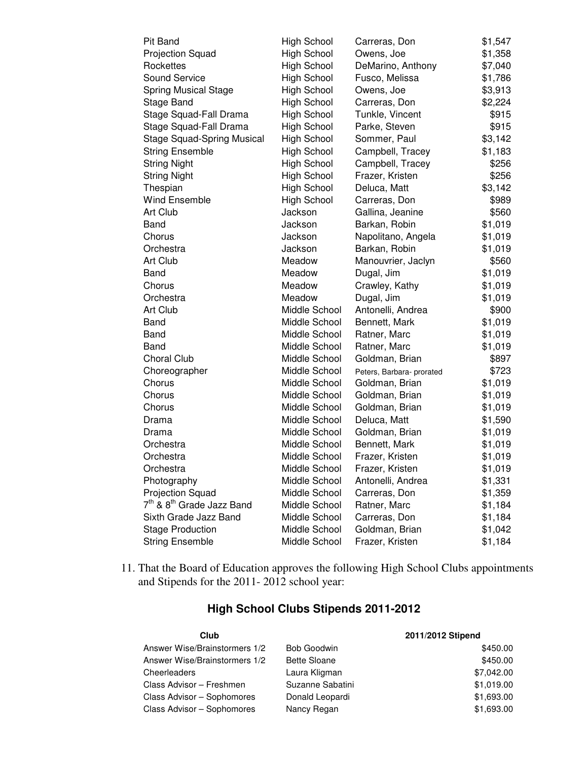| Pit Band                                          | <b>High School</b> | Carreras, Don             | \$1,547 |
|---------------------------------------------------|--------------------|---------------------------|---------|
| Projection Squad                                  | High School        | Owens, Joe                | \$1,358 |
| Rockettes                                         | High School        | DeMarino, Anthony         | \$7,040 |
| Sound Service                                     | High School        | Fusco, Melissa            | \$1,786 |
| <b>Spring Musical Stage</b>                       | <b>High School</b> | Owens, Joe                | \$3,913 |
| Stage Band                                        | High School        | Carreras, Don             | \$2,224 |
| Stage Squad-Fall Drama                            | High School        | Tunkle, Vincent           | \$915   |
| Stage Squad-Fall Drama                            | High School        | Parke, Steven             | \$915   |
| <b>Stage Squad-Spring Musical</b>                 | High School        | Sommer, Paul              | \$3,142 |
| <b>String Ensemble</b>                            | High School        | Campbell, Tracey          | \$1,183 |
| <b>String Night</b>                               | High School        | Campbell, Tracey          | \$256   |
| <b>String Night</b>                               | High School        | Frazer, Kristen           | \$256   |
| Thespian                                          | High School        | Deluca, Matt              | \$3,142 |
| <b>Wind Ensemble</b>                              | <b>High School</b> | Carreras, Don             | \$989   |
| Art Club                                          | Jackson            | Gallina, Jeanine          | \$560   |
| Band                                              | Jackson            | Barkan, Robin             | \$1,019 |
| Chorus                                            | Jackson            | Napolitano, Angela        | \$1,019 |
| Orchestra                                         | Jackson            | Barkan, Robin             | \$1,019 |
| Art Club                                          | Meadow             | Manouvrier, Jaclyn        | \$560   |
| <b>Band</b>                                       | Meadow             | Dugal, Jim                | \$1,019 |
| Chorus                                            | Meadow             | Crawley, Kathy            | \$1,019 |
| Orchestra                                         | Meadow             | Dugal, Jim                | \$1,019 |
| Art Club                                          | Middle School      | Antonelli, Andrea         | \$900   |
| <b>Band</b>                                       | Middle School      | Bennett, Mark             | \$1,019 |
| Band                                              | Middle School      | Ratner, Marc              | \$1,019 |
| Band                                              | Middle School      | Ratner, Marc              | \$1,019 |
| Choral Club                                       | Middle School      | Goldman, Brian            | \$897   |
| Choreographer                                     | Middle School      | Peters, Barbara- prorated | \$723   |
| Chorus                                            | Middle School      | Goldman, Brian            | \$1,019 |
| Chorus                                            | Middle School      | Goldman, Brian            | \$1,019 |
| Chorus                                            | Middle School      | Goldman, Brian            | \$1,019 |
| Drama                                             | Middle School      | Deluca, Matt              | \$1,590 |
| Drama                                             | Middle School      | Goldman, Brian            | \$1,019 |
| Orchestra                                         | Middle School      | Bennett, Mark             | \$1,019 |
| Orchestra                                         | Middle School      | Frazer, Kristen           | \$1,019 |
| Orchestra                                         | Middle School      | Frazer, Kristen           | \$1,019 |
| Photography                                       | Middle School      | Antonelli, Andrea         | \$1,331 |
| <b>Projection Squad</b>                           | Middle School      | Carreras, Don             | \$1,359 |
| 7 <sup>th</sup> & 8 <sup>th</sup> Grade Jazz Band | Middle School      | Ratner, Marc              | \$1,184 |
| Sixth Grade Jazz Band                             | Middle School      | Carreras, Don             | \$1,184 |
| <b>Stage Production</b>                           | Middle School      | Goldman, Brian            | \$1,042 |
| <b>String Ensemble</b>                            | Middle School      | Frazer, Kristen           | \$1,184 |

11. That the Board of Education approves the following High School Clubs appointments and Stipends for the 2011- 2012 school year:

# **High School Clubs Stipends 2011-2012**

| Club                          |                     | 2011/2012 Stipend |  |
|-------------------------------|---------------------|-------------------|--|
| Answer Wise/Brainstormers 1/2 | <b>Bob Goodwin</b>  | \$450.00          |  |
| Answer Wise/Brainstormers 1/2 | <b>Bette Sloane</b> | \$450.00          |  |
| Cheerleaders                  | Laura Kligman       | \$7,042.00        |  |
| Class Advisor - Freshmen      | Suzanne Sabatini    | \$1,019.00        |  |
| Class Advisor - Sophomores    | Donald Leopardi     | \$1,693.00        |  |
| Class Advisor - Sophomores    | Nancy Regan         | \$1,693.00        |  |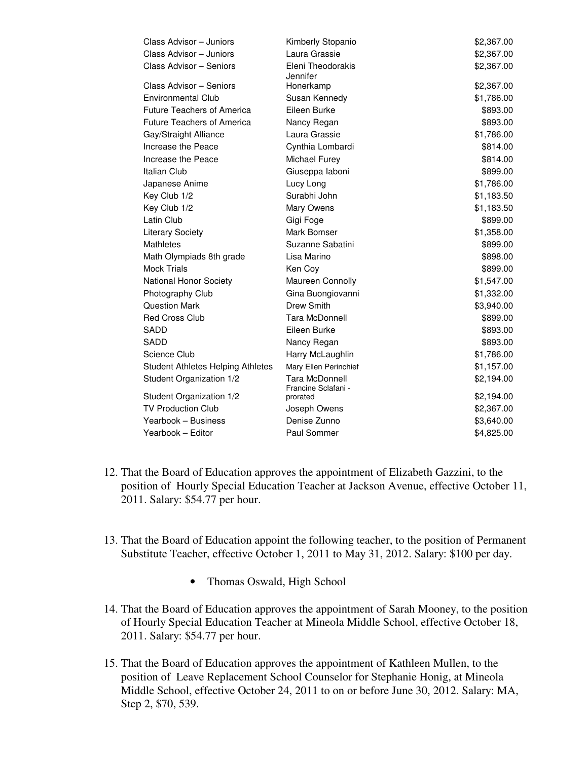| Class Advisor - Juniors                  | Kimberly Stopanio                     | \$2,367.00 |
|------------------------------------------|---------------------------------------|------------|
| Class Advisor - Juniors                  | Laura Grassie                         | \$2,367.00 |
| Class Advisor - Seniors                  | Eleni Theodorakis<br>Jennifer         | \$2,367.00 |
| Class Advisor - Seniors                  | Honerkamp                             | \$2,367.00 |
| Environmental Club                       | Susan Kennedy                         | \$1,786.00 |
| <b>Future Teachers of America</b>        | Eileen Burke                          | \$893.00   |
| <b>Future Teachers of America</b>        | Nancy Regan                           | \$893.00   |
| Gay/Straight Alliance                    | Laura Grassie                         | \$1,786.00 |
| Increase the Peace                       | Cynthia Lombardi                      | \$814.00   |
| Increase the Peace                       | Michael Furey                         | \$814.00   |
| <b>Italian Club</b>                      | Giuseppa laboni                       | \$899.00   |
| Japanese Anime                           | Lucy Long                             | \$1,786.00 |
| Key Club 1/2                             | Surabhi John                          | \$1,183.50 |
| Key Club 1/2                             | Mary Owens                            | \$1,183.50 |
| Latin Club                               | Gigi Foge                             | \$899.00   |
| <b>Literary Society</b>                  | Mark Bomser                           | \$1,358.00 |
| <b>Mathletes</b>                         | Suzanne Sabatini                      | \$899.00   |
| Math Olympiads 8th grade                 | Lisa Marino                           | \$898.00   |
| <b>Mock Trials</b>                       | Ken Coy                               | \$899.00   |
| National Honor Society                   | Maureen Connolly                      | \$1,547.00 |
| Photography Club                         | Gina Buongiovanni                     | \$1,332.00 |
| <b>Question Mark</b>                     | Drew Smith                            | \$3,940.00 |
| <b>Red Cross Club</b>                    | <b>Tara McDonnell</b>                 | \$899.00   |
| <b>SADD</b>                              | Eileen Burke                          | \$893.00   |
| SADD                                     | Nancy Regan                           | \$893.00   |
| Science Club                             | Harry McLaughlin                      | \$1,786.00 |
| <b>Student Athletes Helping Athletes</b> | Mary Ellen Perinchief                 | \$1,157.00 |
| Student Organization 1/2                 | Tara McDonnell<br>Francine Sclafani - | \$2,194.00 |
| Student Organization 1/2                 | prorated                              | \$2,194.00 |
| <b>TV Production Club</b>                | Joseph Owens                          | \$2,367.00 |
| Yearbook - Business                      | Denise Zunno                          | \$3,640.00 |
| Yearbook - Editor                        | Paul Sommer                           | \$4,825.00 |

- 12. That the Board of Education approves the appointment of Elizabeth Gazzini, to the position of Hourly Special Education Teacher at Jackson Avenue, effective October 11, 2011. Salary: \$54.77 per hour.
- 13. That the Board of Education appoint the following teacher, to the position of Permanent Substitute Teacher, effective October 1, 2011 to May 31, 2012. Salary: \$100 per day.
	- Thomas Oswald, High School
- 14. That the Board of Education approves the appointment of Sarah Mooney, to the position of Hourly Special Education Teacher at Mineola Middle School, effective October 18, 2011. Salary: \$54.77 per hour.
- 15. That the Board of Education approves the appointment of Kathleen Mullen, to the position of Leave Replacement School Counselor for Stephanie Honig, at Mineola Middle School, effective October 24, 2011 to on or before June 30, 2012. Salary: MA, Step 2, \$70, 539.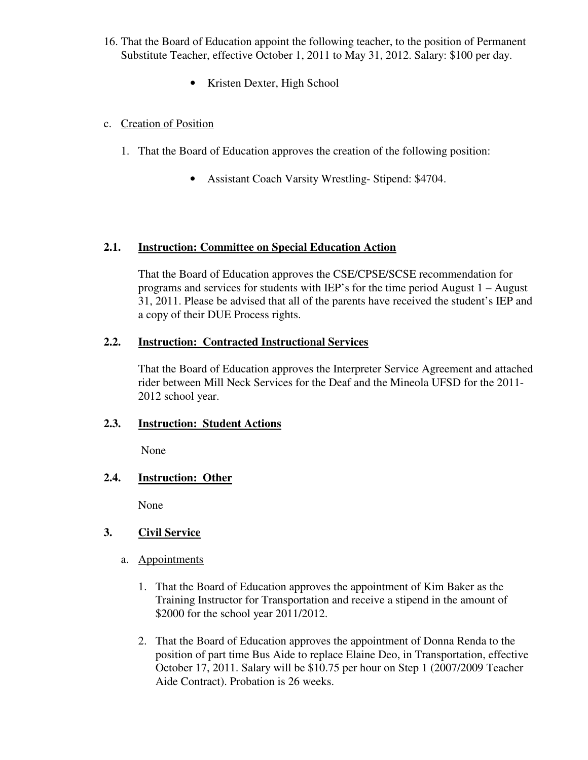- 16. That the Board of Education appoint the following teacher, to the position of Permanent Substitute Teacher, effective October 1, 2011 to May 31, 2012. Salary: \$100 per day.
	- Kristen Dexter, High School

## c. Creation of Position

- 1. That the Board of Education approves the creation of the following position:
	- Assistant Coach Varsity Wrestling-Stipend: \$4704.

#### **2.1. Instruction: Committee on Special Education Action**

That the Board of Education approves the CSE/CPSE/SCSE recommendation for programs and services for students with IEP's for the time period August 1 – August 31, 2011. Please be advised that all of the parents have received the student's IEP and a copy of their DUE Process rights.

#### **2.2. Instruction: Contracted Instructional Services**

That the Board of Education approves the Interpreter Service Agreement and attached rider between Mill Neck Services for the Deaf and the Mineola UFSD for the 2011- 2012 school year.

#### **2.3. Instruction: Student Actions**

None

#### **2.4. Instruction: Other**

None

#### **3. Civil Service**

- a. Appointments
	- 1. That the Board of Education approves the appointment of Kim Baker as the Training Instructor for Transportation and receive a stipend in the amount of \$2000 for the school year 2011/2012.
	- 2. That the Board of Education approves the appointment of Donna Renda to the position of part time Bus Aide to replace Elaine Deo, in Transportation, effective October 17, 2011. Salary will be \$10.75 per hour on Step 1 (2007/2009 Teacher Aide Contract). Probation is 26 weeks.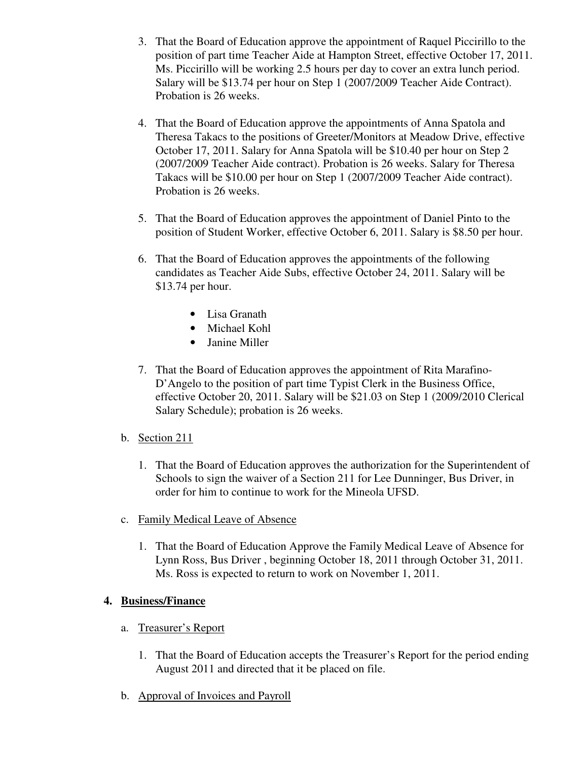- 3. That the Board of Education approve the appointment of Raquel Piccirillo to the position of part time Teacher Aide at Hampton Street, effective October 17, 2011. Ms. Piccirillo will be working 2.5 hours per day to cover an extra lunch period. Salary will be \$13.74 per hour on Step 1 (2007/2009 Teacher Aide Contract). Probation is 26 weeks.
- 4. That the Board of Education approve the appointments of Anna Spatola and Theresa Takacs to the positions of Greeter/Monitors at Meadow Drive, effective October 17, 2011. Salary for Anna Spatola will be \$10.40 per hour on Step 2 (2007/2009 Teacher Aide contract). Probation is 26 weeks. Salary for Theresa Takacs will be \$10.00 per hour on Step 1 (2007/2009 Teacher Aide contract). Probation is 26 weeks.
- 5. That the Board of Education approves the appointment of Daniel Pinto to the position of Student Worker, effective October 6, 2011. Salary is \$8.50 per hour.
- 6. That the Board of Education approves the appointments of the following candidates as Teacher Aide Subs, effective October 24, 2011. Salary will be \$13.74 per hour.
	- Lisa Granath
	- Michael Kohl
	- Janine Miller
- 7. That the Board of Education approves the appointment of Rita Marafino-D'Angelo to the position of part time Typist Clerk in the Business Office, effective October 20, 2011. Salary will be \$21.03 on Step 1 (2009/2010 Clerical Salary Schedule); probation is 26 weeks.
- b. Section 211
	- 1. That the Board of Education approves the authorization for the Superintendent of Schools to sign the waiver of a Section 211 for Lee Dunninger, Bus Driver, in order for him to continue to work for the Mineola UFSD.
- c. Family Medical Leave of Absence
	- 1. That the Board of Education Approve the Family Medical Leave of Absence for Lynn Ross, Bus Driver , beginning October 18, 2011 through October 31, 2011. Ms. Ross is expected to return to work on November 1, 2011.

#### **4. Business/Finance**

- a. Treasurer's Report
	- 1. That the Board of Education accepts the Treasurer's Report for the period ending August 2011 and directed that it be placed on file.
- b. Approval of Invoices and Payroll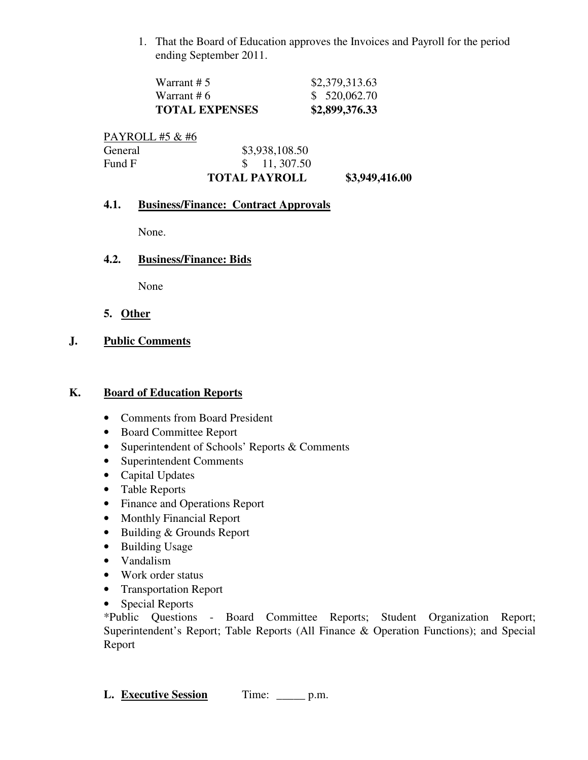1. That the Board of Education approves the Invoices and Payroll for the period ending September 2011.

| Warrant # 6           | \$520,062.70   |
|-----------------------|----------------|
| <b>TOTAL EXPENSES</b> | \$2,899,376.33 |

|                 | <b>TOTAL PAYROLL</b>   | \$3,949,416.00 |
|-----------------|------------------------|----------------|
| Fund F          | $\frac{\$}{11,307.50}$ |                |
| General         | \$3,938,108.50         |                |
| PAYROLL #5 & #6 |                        |                |

#### **4.1. Business/Finance: Contract Approvals**

None.

#### **4.2. Business/Finance: Bids**

None

**5. Other**

# **J. Public Comments**

## **K. Board of Education Reports**

- Comments from Board President
- Board Committee Report
- Superintendent of Schools' Reports & Comments
- Superintendent Comments
- Capital Updates
- Table Reports
- Finance and Operations Report
- Monthly Financial Report
- Building & Grounds Report
- Building Usage
- Vandalism
- Work order status
- Transportation Report
- Special Reports

\*Public Questions - Board Committee Reports; Student Organization Report; Superintendent's Report; Table Reports (All Finance & Operation Functions); and Special Report

L. **Executive Session** Time: \_\_\_\_\_ p.m.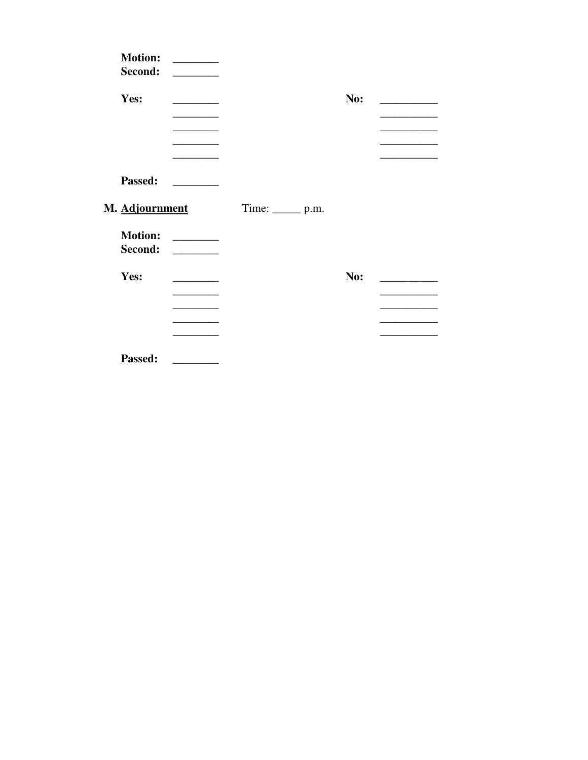| <b>Motion:</b><br>Second: | <u> 1989 - Andrea Store Barnett, ameri</u> kansk kon |                     |     |  |
|---------------------------|------------------------------------------------------|---------------------|-----|--|
| Yes:                      | <b>Contract Contract</b>                             |                     | No: |  |
|                           |                                                      |                     |     |  |
| Passed:                   |                                                      |                     |     |  |
| M. Adjournment            |                                                      | Time: ________ p.m. |     |  |
| <b>Motion:</b><br>Second: | $\sim$ 100 $\mu$                                     |                     |     |  |
| Yes:                      |                                                      |                     | No: |  |
|                           |                                                      |                     |     |  |
| Passed:                   |                                                      |                     |     |  |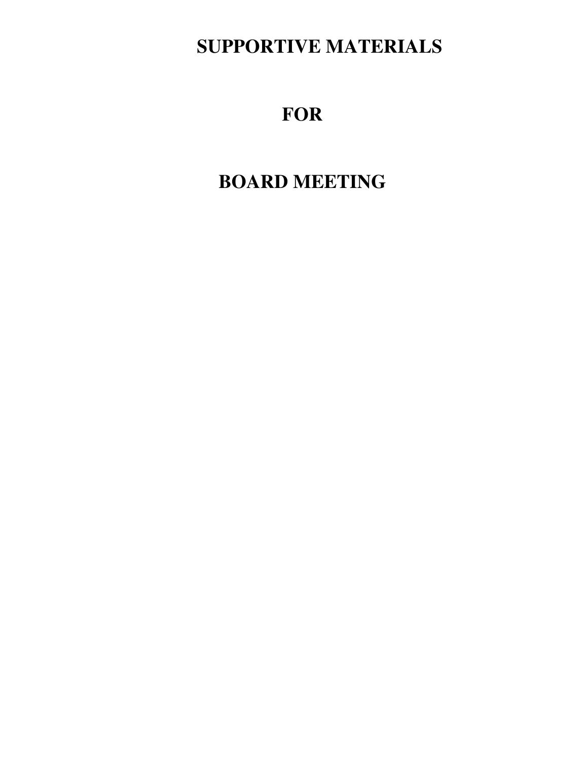# **SUPPORTIVE MATERIALS**

# **FOR**

# **BOARD MEETING**